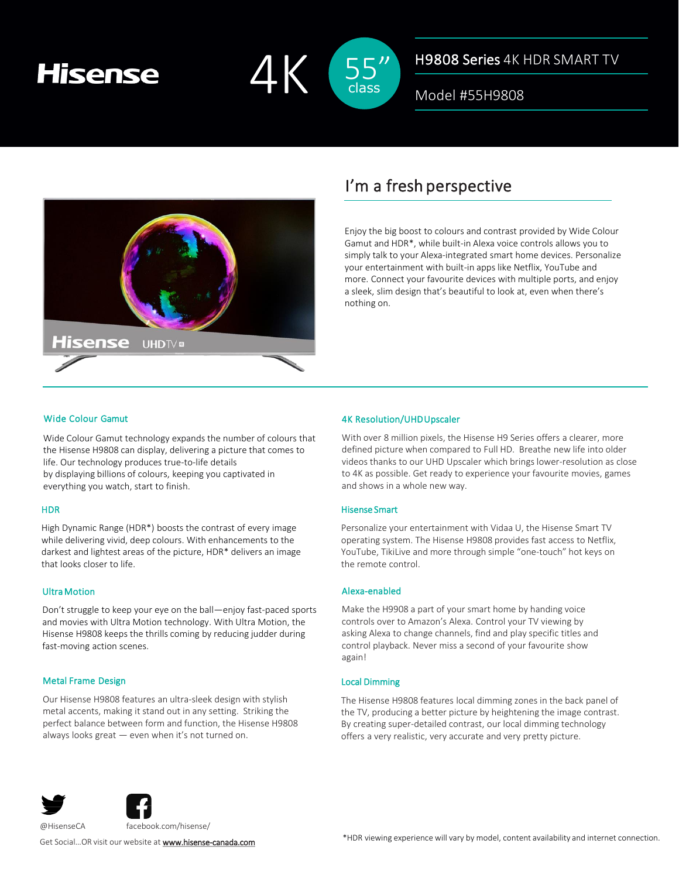# **Hisense**



### H9808 Series 4K HDR SMART TV

Model #55H9808



## I'm a fresh perspective

Enjoy the big boost to colours and contrast provided by Wide Colour Gamut and HDR\*, while built-in Alexa voice controls allows you to simply talk to your Alexa-integrated smart home devices. Personalize your entertainment with built-in apps like Netflix, YouTube and more. Connect your favourite devices with multiple ports, and enjoy a sleek, slim design that's beautiful to look at, even when there's nothing on.

#### Wide Colour Gamut

Wide Colour Gamut technology expands the number of colours that the Hisense H9808 can display, delivering a picture that comes to life. Our technology produces true-to-life details by displaying billions of colours, keeping you captivated in everything you watch, start to finish.

#### **HDR**

High Dynamic Range (HDR\*) boosts the contrast of every image while delivering vivid, deep colours. With enhancements to the darkest and lightest areas of the picture, HDR\* delivers an image that looks closer to life.

#### UltraMotion

Don't struggle to keep your eye on the ball—enjoy fast-paced sports and movies with Ultra Motion technology. With Ultra Motion, the Hisense H9808 keeps the thrills coming by reducing judder during fast-moving action scenes.

#### Metal Frame Design

Our Hisense H9808 features an ultra-sleek design with stylish metal accents, making it stand out in any setting. Striking the perfect balance between form and function, the Hisense H9808 always looks great — even when it's not turned on.

#### 4K Resolution/UHDUpscaler

With over 8 million pixels, the Hisense H9 Series offers a clearer, more defined picture when compared to Full HD. Breathe new life into older videos thanks to our UHD Upscaler which brings lower-resolution as close to 4K as possible. Get ready to experience your favourite movies, games and shows in a whole new way.

#### Hisense Smart

Personalize your entertainment with Vidaa U, the Hisense Smart TV operating system. The Hisense H9808 provides fast access to Netflix, YouTube, TikiLive and more through simple "one-touch" hot keys on the remote control.

#### Alexa-enabled

Make the H9908 a part of your smart home by handing voice controls over to Amazon's Alexa. Control your TV viewing by asking Alexa to change channels, find and play specific titles and control playback. Never miss a second of your favourite show again!

#### Local Dimming

The Hisense H9808 features local dimming zones in the back panel of the TV, producing a better picture by heightening the image contrast. By creating super-detailed contrast, our local dimming technology offers a very realistic, very accurate and very pretty picture.